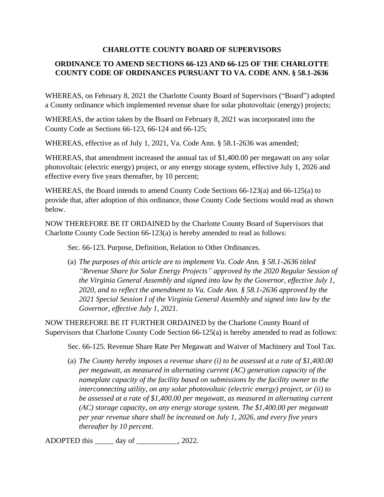## **CHARLOTTE COUNTY BOARD OF SUPERVISORS**

## **ORDINANCE TO AMEND SECTIONS 66-123 AND 66-125 OF THE CHARLOTTE COUNTY CODE OF ORDINANCES PURSUANT TO VA. CODE ANN. § 58.1-2636**

WHEREAS, on February 8, 2021 the Charlotte County Board of Supervisors ("Board") adopted a County ordinance which implemented revenue share for solar photovoltaic (energy) projects;

WHEREAS, the action taken by the Board on February 8, 2021 was incorporated into the County Code as Sections 66-123, 66-124 and 66-125;

WHEREAS, effective as of July 1, 2021, Va. Code Ann. § 58.1-2636 was amended;

WHEREAS, that amendment increased the annual tax of \$1,400.00 per megawatt on any solar photovoltaic (electric energy) project, or any energy storage system, effective July 1, 2026 and effective every five years thereafter, by 10 percent;

WHEREAS, the Board intends to amend County Code Sections 66-123(a) and 66-125(a) to provide that, after adoption of this ordinance, those County Code Sections would read as shown below.

NOW THEREFORE BE IT ORDAINED by the Charlotte County Board of Supervisors that Charlotte County Code Section 66-123(a) is hereby amended to read as follows:

Sec. 66-123. Purpose, Definition, Relation to Other Ordinances.

(a) *The purposes of this article are to implement Va. Code Ann. § 58.1-2636 titled "Revenue Share for Solar Energy Projects" approved by the 2020 Regular Session of the Virginia General Assembly and signed into law by the Governor, effective July 1, 2020, and to reflect the amendment to Va. Code Ann. § 58.1-2636 approved by the 2021 Special Session I of the Virginia General Assembly and signed into law by the Governor, effective July 1, 2021.*

NOW THEREFORE BE IT FURTHER ORDAINED by the Charlotte County Board of Supervisors that Charlotte County Code Section 66-125(a) is hereby amended to read as follows:

Sec. 66-125. Revenue Share Rate Per Megawatt and Waiver of Machinery and Tool Tax.

(a) *The County hereby imposes a revenue share (i) to be assessed at a rate of \$1,400.00 per megawatt, as measured in alternating current (AC) generation capacity of the nameplate capacity of the facility based on submissions by the facility owner to the interconnecting utility, on any solar photovoltaic (electric energy) project, or (ii) to be assessed at a rate of \$1,400.00 per megawatt, as measured in alternating current (AC) storage capacity, on any energy storage system. The \$1,400.00 per megawatt per year revenue share shall be increased on July 1, 2026, and every five years thereafter by 10 percent.* 

ADOPTED this \_\_\_\_\_ day of \_\_\_\_\_\_\_\_\_\_\_, 2022.